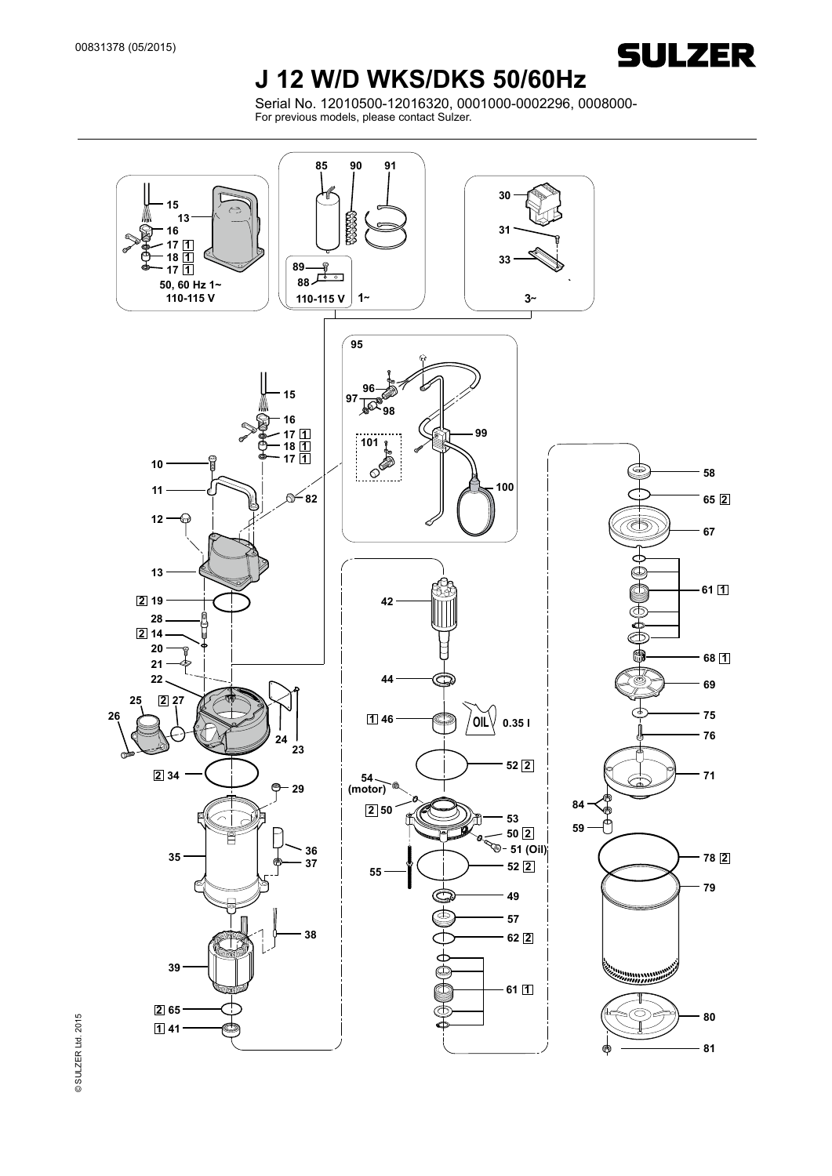

### **J 12 W/D WKS/DKS 50/60Hz**

Serial No. 12010500-12016320, 0001000-0002296, 0008000- For previous models, please contact Sulzer.



© SULZER Ltd. 2015 © SULZER Ltd. 2015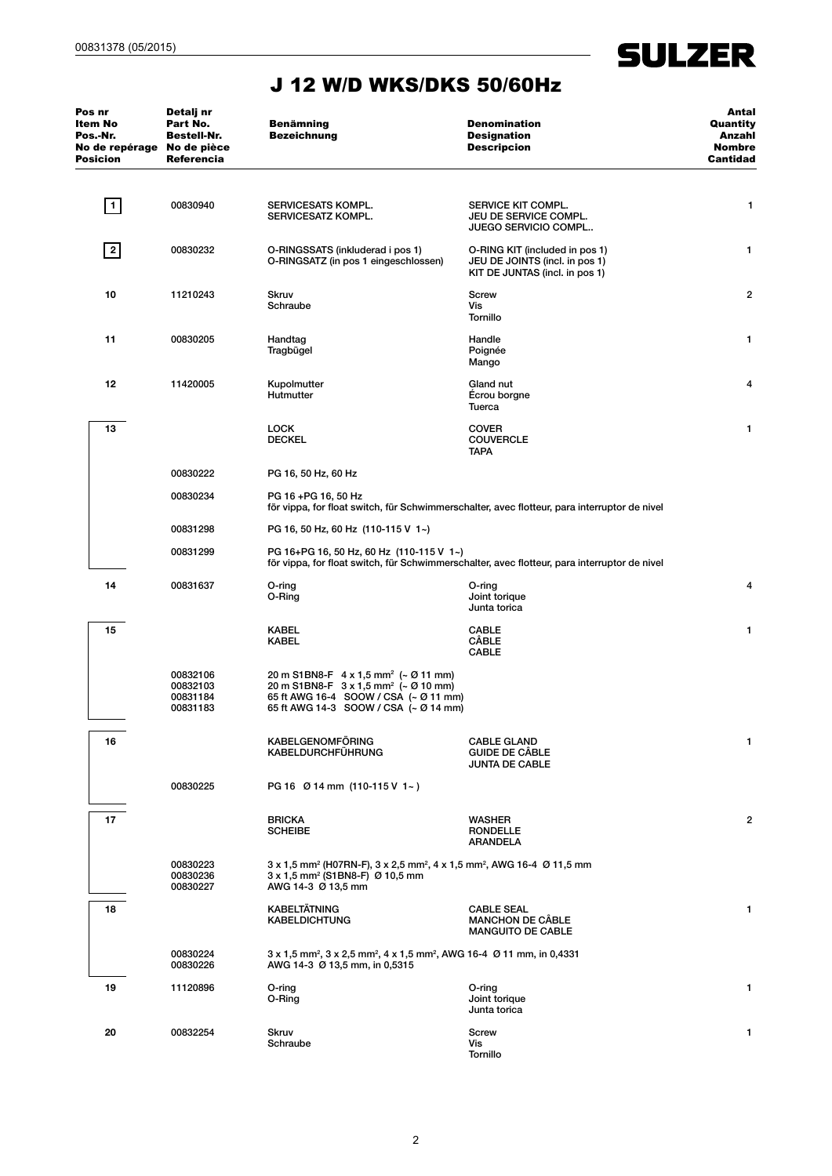$\mathcal{L}^{\text{max}}$ 

| Pos nr<br>Item No<br>Pos.-Nr.<br>No de repérage No de pièce<br><b>Posicion</b> | Detalj nr<br>Part No.<br><b>Bestell-Nr.</b><br><b>Referencia</b> | <b>Benämning</b><br><b>Bezeichnung</b>                                                                                                                                                                          | <b>Denomination</b><br><b>Designation</b><br><b>Descripcion</b>                                    | Antal<br>Quantity<br>Anzahl<br><b>Nombre</b><br>Cantidad |  |
|--------------------------------------------------------------------------------|------------------------------------------------------------------|-----------------------------------------------------------------------------------------------------------------------------------------------------------------------------------------------------------------|----------------------------------------------------------------------------------------------------|----------------------------------------------------------|--|
| $\vert$ 1                                                                      | 00830940                                                         | SERVICESATS KOMPL.<br>SERVICESATZ KOMPL.                                                                                                                                                                        | <b>SERVICE KIT COMPL.</b><br>JEU DE SERVICE COMPL.<br><b>JUEGO SERVICIO COMPL</b>                  | 1                                                        |  |
| 2                                                                              | 00830232                                                         | O-RINGSSATS (inkluderad i pos 1)<br>O-RINGSATZ (in pos 1 eingeschlossen)                                                                                                                                        | O-RING KIT (included in pos 1)<br>JEU DE JOINTS (incl. in pos 1)<br>KIT DE JUNTAS (incl. in pos 1) | 1                                                        |  |
| 10                                                                             | 11210243                                                         | Skruv<br>Schraube                                                                                                                                                                                               | <b>Screw</b><br>Vis<br>Tornillo                                                                    | 2                                                        |  |
| 11                                                                             | 00830205                                                         | Handtag<br>Tragbügel                                                                                                                                                                                            | Handle<br>Poignée<br>Mango                                                                         | 1                                                        |  |
| 12                                                                             | 11420005                                                         | Kupolmutter<br>Hutmutter                                                                                                                                                                                        | Gland nut<br>Ecrou borgne<br>Tuerca                                                                | 4                                                        |  |
| 13                                                                             |                                                                  | LOCK<br><b>DECKEL</b>                                                                                                                                                                                           | <b>COVER</b><br><b>COUVERCLE</b><br><b>TAPA</b>                                                    | 1                                                        |  |
|                                                                                | 00830222                                                         | PG 16, 50 Hz, 60 Hz                                                                                                                                                                                             |                                                                                                    |                                                          |  |
|                                                                                | 00830234                                                         | PG 16 +PG 16, 50 Hz<br>för vippa, for float switch, für Schwimmerschalter, avec flotteur, para interruptor de nivel                                                                                             |                                                                                                    |                                                          |  |
|                                                                                | 00831298                                                         | PG 16, 50 Hz, 60 Hz (110-115 V 1~)                                                                                                                                                                              |                                                                                                    |                                                          |  |
|                                                                                | 00831299                                                         | PG 16+PG 16, 50 Hz, 60 Hz (110-115 V 1~)                                                                                                                                                                        | för vippa, for float switch, für Schwimmerschalter, avec flotteur, para interruptor de nivel       |                                                          |  |
| 14                                                                             | 00831637                                                         | 0-ring<br>O-Ring                                                                                                                                                                                                | O-ring<br>Joint torique<br>Junta torica                                                            | 4                                                        |  |
| 15                                                                             |                                                                  | KABEL<br>KABEL                                                                                                                                                                                                  | <b>CABLE</b><br><b>CABLE</b><br><b>CABLE</b>                                                       | 1                                                        |  |
|                                                                                | 00832106<br>00832103<br>00831184<br>00831183                     | 20 m S1BN8-F 4 x 1,5 mm <sup>2</sup> (~ Ø 11 mm)<br>20 m S1BN8-F 3 x 1,5 mm <sup>2</sup> (~ Ø 10 mm)<br>65 ft AWG 16-4 SOOW / CSA (~ Ø 11 mm)<br>65 ft AWG 14-3 SOOW / CSA (~ Ø 14 mm)                          |                                                                                                    |                                                          |  |
| 16                                                                             |                                                                  | KABELGENOMFÖRING<br>KABELDURCHFÜHRUNG                                                                                                                                                                           | <b>CABLE GLAND</b><br><b>GUIDE DE CÂBLE</b><br><b>JUNTA DE CABLE</b>                               | 1                                                        |  |
|                                                                                | 00830225                                                         | PG 16 Ø 14 mm (110-115 V 1~)                                                                                                                                                                                    |                                                                                                    |                                                          |  |
| 17                                                                             |                                                                  | <b>BRICKA</b><br><b>SCHEIBE</b>                                                                                                                                                                                 | <b>WASHER</b><br>RONDELLE<br><b>ARANDELA</b>                                                       | $\overline{\mathbf{c}}$                                  |  |
|                                                                                | 00830223<br>00830236<br>00830227                                 | $3 \times 1.5$ mm <sup>2</sup> (H07RN-F), $3 \times 2.5$ mm <sup>2</sup> , $4 \times 1.5$ mm <sup>2</sup> , AWG 16-4 $\varnothing$ 11.5 mm<br>3 x 1,5 mm <sup>2</sup> (S1BN8-F) Ø 10,5 mm<br>AWG 14-3 Ø 13,5 mm |                                                                                                    |                                                          |  |
| 18                                                                             |                                                                  | KABELTÄTNING<br><b>KABELDICHTUNG</b>                                                                                                                                                                            | <b>CABLE SEAL</b><br><b>MANCHON DE CÂBLE</b><br><b>MANGUITO DE CABLE</b>                           | 1                                                        |  |
|                                                                                | 00830224<br>00830226                                             | $3 \times 1,5$ mm <sup>2</sup> , $3 \times 2,5$ mm <sup>2</sup> , $4 \times 1,5$ mm <sup>2</sup> , AWG 16-4 $\varnothing$ 11 mm, in 0,4331<br>AWG 14-3 Ø 13,5 mm, in 0,5315                                     |                                                                                                    |                                                          |  |
| 19                                                                             | 11120896                                                         | O-ring<br>O-Ring                                                                                                                                                                                                | O-ring<br>Joint torique<br>Junta torica                                                            | 1                                                        |  |
| 20                                                                             | 00832254                                                         | Skruv<br>Schraube                                                                                                                                                                                               | Screw<br>Vis<br>Tornillo                                                                           | 1                                                        |  |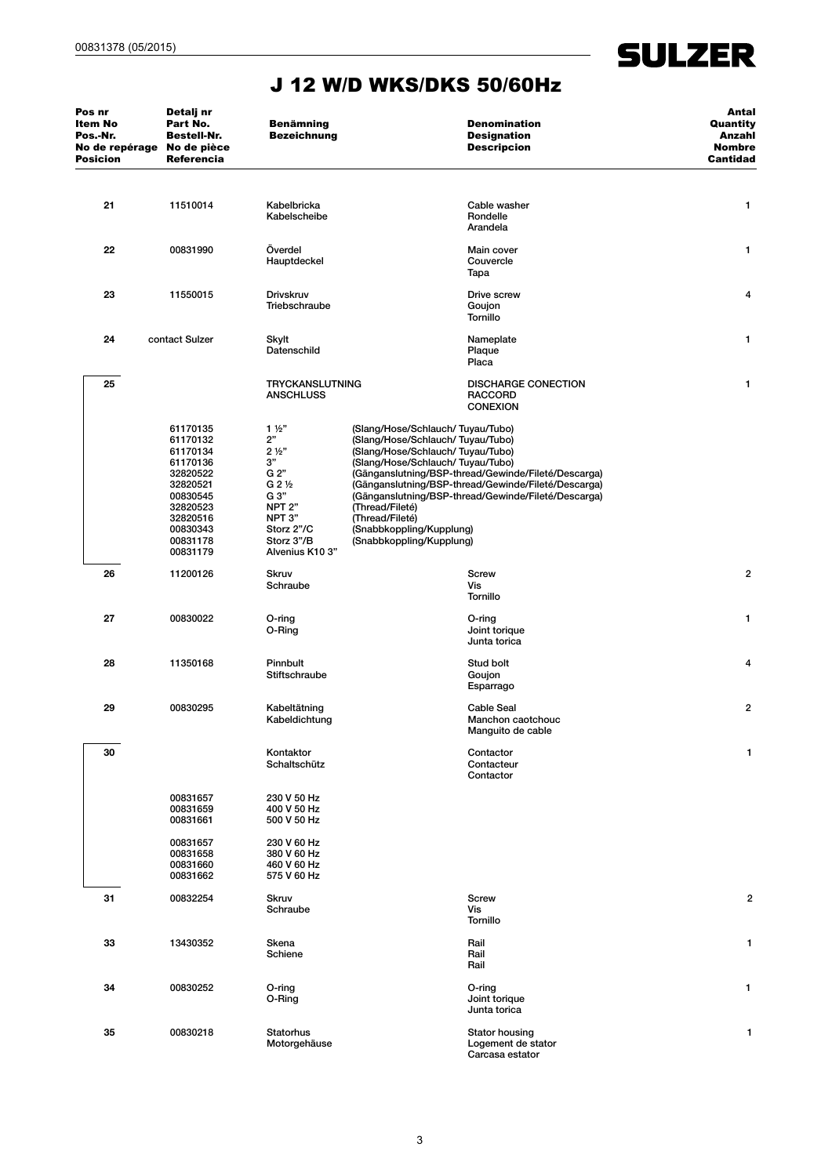$\overline{\phantom{a}}$ 

| Pos nr<br>Item No<br>Pos.-Nr.<br>No de repérage No de pièce<br><b>Posicion</b> | Detalj nr<br>Part No.<br><b>Bestell-Nr.</b><br><b>Referencia</b>                                                                             | <b>Benämning</b><br><b>Bezeichnung</b>                                                                                                                                                   | <b>Denomination</b><br><b>Designation</b><br><b>Descripcion</b>                                                                                                                                                                                                                                                                                                                                                 | Antal<br>Quantity<br>Anzahl<br><b>Nombre</b><br>Cantidad |
|--------------------------------------------------------------------------------|----------------------------------------------------------------------------------------------------------------------------------------------|------------------------------------------------------------------------------------------------------------------------------------------------------------------------------------------|-----------------------------------------------------------------------------------------------------------------------------------------------------------------------------------------------------------------------------------------------------------------------------------------------------------------------------------------------------------------------------------------------------------------|----------------------------------------------------------|
| 21                                                                             | 11510014                                                                                                                                     | Kabelbricka<br>Kabelscheibe                                                                                                                                                              | Cable washer<br>Rondelle<br>Arandela                                                                                                                                                                                                                                                                                                                                                                            | 1                                                        |
| 22                                                                             | 00831990                                                                                                                                     | Överdel<br>Hauptdeckel                                                                                                                                                                   | Main cover<br>Couvercle<br>Tapa                                                                                                                                                                                                                                                                                                                                                                                 | 1                                                        |
| 23                                                                             | 11550015                                                                                                                                     | Drivskruv<br>Triebschraube                                                                                                                                                               | Drive screw<br>Goujon<br>Tornillo                                                                                                                                                                                                                                                                                                                                                                               | 4                                                        |
| 24                                                                             | contact Sulzer                                                                                                                               | Skylt<br>Datenschild                                                                                                                                                                     | Nameplate<br>Plaque<br>Placa                                                                                                                                                                                                                                                                                                                                                                                    | 1                                                        |
| 25                                                                             |                                                                                                                                              | TRYCKANSLUTNING<br><b>ANSCHLUSS</b>                                                                                                                                                      | <b>DISCHARGE CONECTION</b><br><b>RACCORD</b><br><b>CONEXION</b>                                                                                                                                                                                                                                                                                                                                                 | 1                                                        |
|                                                                                | 61170135<br>61170132<br>61170134<br>61170136<br>32820522<br>32820521<br>00830545<br>32820523<br>32820516<br>00830343<br>00831178<br>00831179 | $1\frac{1}{2}$<br>2"<br>$2\frac{1}{2}$<br>3"<br>G 2"<br>G 2 <sup>1</sup> / <sub>2</sub><br>G 3"<br>NPT <sub>2"</sub><br>NPT <sub>3"</sub><br>Storz 2"/C<br>Storz 3"/B<br>Alvenius K10 3" | (Slang/Hose/Schlauch/Tuyau/Tubo)<br>(Slang/Hose/Schlauch/Tuyau/Tubo)<br>(Slang/Hose/Schlauch/Tuyau/Tubo)<br>(Slang/Hose/Schlauch/Tuyau/Tubo)<br>(Gänganslutning/BSP-thread/Gewinde/Fileté/Descarga)<br>(Gänganslutning/BSP-thread/Gewinde/Fileté/Descarga)<br>(Gänganslutning/BSP-thread/Gewinde/Fileté/Descarga)<br>(Thread/Fileté)<br>(Thread/Fileté)<br>(Snabbkoppling/Kupplung)<br>(Snabbkoppling/Kupplung) |                                                          |
| 26                                                                             | 11200126                                                                                                                                     | Skruv<br>Schraube                                                                                                                                                                        | Screw<br>Vis<br>Tornillo                                                                                                                                                                                                                                                                                                                                                                                        | 2                                                        |
| 27                                                                             | 00830022                                                                                                                                     | O-ring<br>O-Ring                                                                                                                                                                         | O-ring<br>Joint torique<br>Junta torica                                                                                                                                                                                                                                                                                                                                                                         | 1                                                        |
| 28                                                                             | 11350168                                                                                                                                     | Pinnbult<br>Stiftschraube                                                                                                                                                                | Stud bolt<br>Goujon<br>Esparrago                                                                                                                                                                                                                                                                                                                                                                                | 4                                                        |
| 29                                                                             | 00830295                                                                                                                                     | Kabeltätning<br>Kabeldichtung                                                                                                                                                            | <b>Cable Seal</b><br>Manchon caotchouc<br>Manguito de cable                                                                                                                                                                                                                                                                                                                                                     | 2                                                        |
| 30                                                                             |                                                                                                                                              | Kontaktor<br>Schaltschütz                                                                                                                                                                | Contactor<br>Contacteur<br>Contactor                                                                                                                                                                                                                                                                                                                                                                            | 1                                                        |
|                                                                                | 00831657<br>00831659<br>00831661                                                                                                             | 230 V 50 Hz<br>400 V 50 Hz<br>500 V 50 Hz                                                                                                                                                |                                                                                                                                                                                                                                                                                                                                                                                                                 |                                                          |
|                                                                                | 00831657<br>00831658<br>00831660<br>00831662                                                                                                 | 230 V 60 Hz<br>380 V 60 Hz<br>460 V 60 Hz<br>575 V 60 Hz                                                                                                                                 |                                                                                                                                                                                                                                                                                                                                                                                                                 |                                                          |
| 31                                                                             | 00832254                                                                                                                                     | <b>Skruv</b><br>Schraube                                                                                                                                                                 | Screw<br>Vis<br>Tornillo                                                                                                                                                                                                                                                                                                                                                                                        | $\overline{2}$                                           |
| 33                                                                             | 13430352                                                                                                                                     | Skena<br>Schiene                                                                                                                                                                         | Rail<br>Rail<br>Rail                                                                                                                                                                                                                                                                                                                                                                                            | 1                                                        |
| 34                                                                             | 00830252                                                                                                                                     | O-ring<br>O-Ring                                                                                                                                                                         | O-ring<br>Joint torique<br>Junta torica                                                                                                                                                                                                                                                                                                                                                                         | 1                                                        |
| 35                                                                             | 00830218                                                                                                                                     | Statorhus<br>Motorgehäuse                                                                                                                                                                | Stator housing<br>Logement de stator<br>Carcasa estator                                                                                                                                                                                                                                                                                                                                                         | 1                                                        |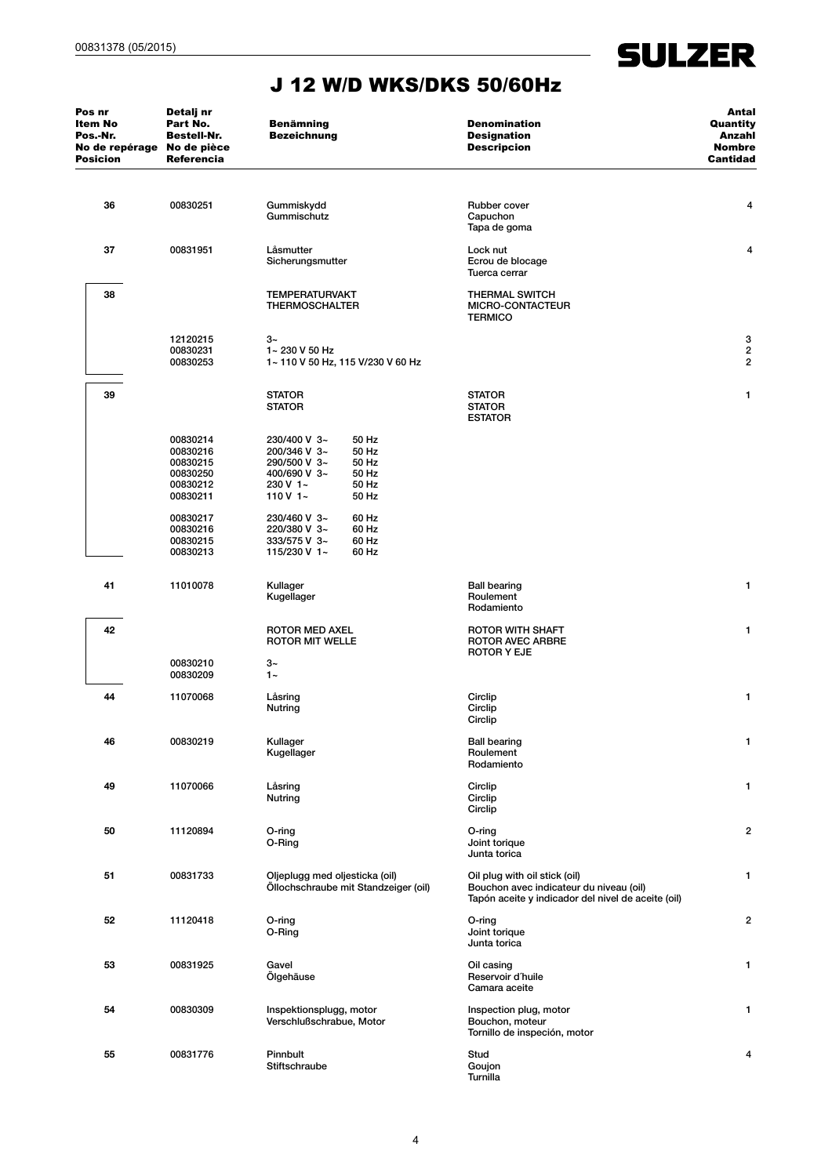| Pos nr<br>Item No<br>Pos.-Nr.<br>No de repérage No de pièce<br>Posicion | Detalj nr<br>Part No.<br>Bestell-Nr.<br>Referencia                   | <b>Benämning</b><br><b>Bezeichnung</b>                                                                                                     | <b>Denomination</b><br><b>Designation</b><br><b>Descripcion</b>                                                                | Antal<br>Quantity<br>Anzahl<br><b>Nombre</b><br><b>Cantidad</b> |
|-------------------------------------------------------------------------|----------------------------------------------------------------------|--------------------------------------------------------------------------------------------------------------------------------------------|--------------------------------------------------------------------------------------------------------------------------------|-----------------------------------------------------------------|
| 36                                                                      | 00830251                                                             | Gummiskydd<br>Gummischutz                                                                                                                  | Rubber cover<br>Capuchon<br>Tapa de goma                                                                                       | 4                                                               |
| 37                                                                      | 00831951                                                             | Låsmutter<br>Sicherungsmutter                                                                                                              | Lock nut<br>Ecrou de blocage<br>Tuerca cerrar                                                                                  | 4                                                               |
| 38                                                                      |                                                                      | <b>TEMPERATURVAKT</b><br><b>THERMOSCHALTER</b>                                                                                             | <b>THERMAL SWITCH</b><br>MICRO-CONTACTEUR<br><b>TERMICO</b>                                                                    |                                                                 |
|                                                                         | 12120215<br>00830231<br>00830253                                     | $3-$<br>1~230 V 50 Hz<br>1~110 V 50 Hz, 115 V/230 V 60 Hz                                                                                  |                                                                                                                                | 3<br>$\boldsymbol{2}$<br>$\overline{\mathbf{c}}$                |
| 39                                                                      |                                                                      | <b>STATOR</b><br><b>STATOR</b>                                                                                                             | <b>STATOR</b><br><b>STATOR</b><br><b>ESTATOR</b>                                                                               | 1                                                               |
|                                                                         | 00830214<br>00830216<br>00830215<br>00830250<br>00830212<br>00830211 | 50 Hz<br>230/400 V 3~<br>50 Hz<br>200/346 V 3~<br>290/500 V 3~<br>50 Hz<br>400/690 V 3~<br>50 Hz<br>230 V 1~<br>50 Hz<br>110 V 1~<br>50 Hz |                                                                                                                                |                                                                 |
|                                                                         | 00830217<br>00830216<br>00830215<br>00830213                         | 60 Hz<br>230/460 V 3~<br>60 Hz<br>220/380 V 3~<br>60 Hz<br>333/575 V 3~<br>60 Hz<br>115/230 V 1~                                           |                                                                                                                                |                                                                 |
| 41                                                                      | 11010078                                                             | Kullager<br>Kugellager                                                                                                                     | <b>Ball bearing</b><br>Roulement<br>Rodamiento                                                                                 | 1                                                               |
| 42                                                                      |                                                                      | <b>ROTOR MED AXEL</b><br><b>ROTOR MIT WELLE</b>                                                                                            | ROTOR WITH SHAFT<br><b>ROTOR AVEC ARBRE</b><br><b>ROTOR Y EJE</b>                                                              | 1                                                               |
|                                                                         | 00830210<br>00830209                                                 | $3-$<br>$1 -$                                                                                                                              |                                                                                                                                |                                                                 |
| 44                                                                      | 11070068                                                             | Låsring<br>Nutring                                                                                                                         | Circlip<br>Circlip<br>Circlip                                                                                                  | 1                                                               |
| 46                                                                      | 00830219                                                             | Kullager<br>Kugellager                                                                                                                     | <b>Ball bearing</b><br>Roulement<br>Rodamiento                                                                                 | $\mathbf{1}$                                                    |
| 49                                                                      | 11070066                                                             | Låsring<br>Nutring                                                                                                                         | Circlip<br>Circlip<br>Circlip                                                                                                  | 1                                                               |
| 50                                                                      | 11120894                                                             | O-ring<br>O-Ring                                                                                                                           | $O$ -ring<br>Joint torique<br>Junta torica                                                                                     | $\overline{2}$                                                  |
| 51                                                                      | 00831733                                                             | Oljeplugg med oljesticka (oil)<br>Öllochschraube mit Standzeiger (oil)                                                                     | Oil plug with oil stick (oil)<br>Bouchon avec indicateur du niveau (oil)<br>Tapón aceite y indicador del nivel de aceite (oil) | 1                                                               |
| 52                                                                      | 11120418                                                             | O-ring<br>O-Ring                                                                                                                           | $O$ -ring<br>Joint torique<br>Junta torica                                                                                     | $\overline{2}$                                                  |
| 53                                                                      | 00831925                                                             | Gavel<br>Olgehäuse                                                                                                                         | Oil casing<br>Reservoir d'huile<br>Camara aceite                                                                               | 1                                                               |
| 54                                                                      | 00830309                                                             | Inspektionsplugg, motor<br>Verschlußschrabue, Motor                                                                                        | Inspection plug, motor<br>Bouchon, moteur<br>Tornillo de inspeción, motor                                                      | 1                                                               |
| 55                                                                      | 00831776                                                             | Pinnbult<br>Stiftschraube                                                                                                                  | Stud<br>Goujon<br>Turnilla                                                                                                     | 4                                                               |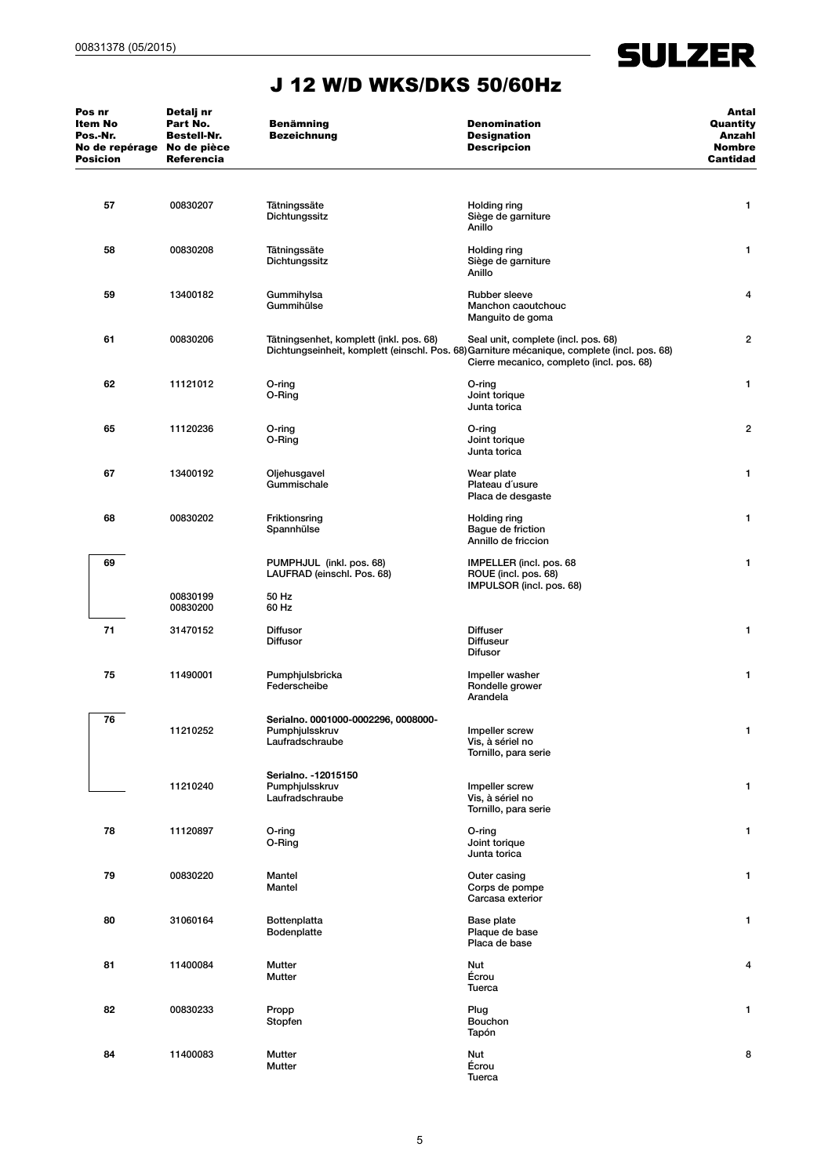$\overline{\phantom{a}}$ 

| Pos nr<br><b>Item No</b><br>Pos.-Nr.<br>No de repérage No de pièce<br><b>Posicion</b> | Detalj nr<br>Part No.<br><b>Bestell-Nr.</b><br><b>Referencia</b> | <b>Benämning</b><br><b>Bezeichnung</b>                                                                                                                                                                                     | <b>Denomination</b><br><b>Designation</b><br><b>Descripcion</b>             | Antal<br>Quantity<br>Anzahl<br><b>Nombre</b><br><b>Cantidad</b> |
|---------------------------------------------------------------------------------------|------------------------------------------------------------------|----------------------------------------------------------------------------------------------------------------------------------------------------------------------------------------------------------------------------|-----------------------------------------------------------------------------|-----------------------------------------------------------------|
| 57                                                                                    | 00830207                                                         | Tätningssäte<br>Dichtungssitz                                                                                                                                                                                              | Holding ring<br>Siège de garniture<br>Anillo                                | 1                                                               |
| 58                                                                                    | 00830208                                                         | Tätningssäte<br>Dichtungssitz                                                                                                                                                                                              | Holding ring<br>Siège de garniture<br>Anillo                                | 1                                                               |
| 59                                                                                    | 13400182                                                         | Gummihylsa<br>Rubber sleeve<br>Gummihülse<br>Manchon caoutchouc<br>Manguito de goma                                                                                                                                        |                                                                             | 4                                                               |
| 61                                                                                    | 00830206                                                         | Tätningsenhet, komplett (inkl. pos. 68)<br>Seal unit, complete (incl. pos. 68)<br>Dichtungseinheit, komplett (einschl. Pos. 68) Garniture mécanique, complete (incl. pos. 68)<br>Cierre mecanico, completo (incl. pos. 68) |                                                                             | 2                                                               |
| 62                                                                                    | 11121012                                                         | O-ring<br>$O$ -ring<br>O-Ring<br>Joint torique<br>Junta torica                                                                                                                                                             |                                                                             | 1                                                               |
| 65                                                                                    | 11120236                                                         | $O$ -ring<br>O-Ring                                                                                                                                                                                                        | O-ring<br>Joint torique<br>Junta torica                                     | $\overline{2}$                                                  |
| 67                                                                                    | 13400192                                                         | Oljehusgavel<br>Gummischale                                                                                                                                                                                                | Wear plate<br>Plateau d'usure<br>Placa de desgaste                          | 1                                                               |
| 68                                                                                    | 00830202                                                         | Friktionsring<br>Spannhülse                                                                                                                                                                                                | Holding ring<br>Bague de friction<br>Annillo de friccion                    | 1                                                               |
| 69                                                                                    |                                                                  | PUMPHJUL (inkl. pos. 68)<br>LAUFRAD (einschl. Pos. 68)                                                                                                                                                                     | IMPELLER (incl. pos. 68<br>ROUE (incl. pos. 68)<br>IMPULSOR (incl. pos. 68) | 1                                                               |
|                                                                                       | 00830199<br>00830200                                             | 50 Hz<br>60 Hz                                                                                                                                                                                                             |                                                                             |                                                                 |
| 71                                                                                    | 31470152                                                         | <b>Diffusor</b><br><b>Diffusor</b>                                                                                                                                                                                         | <b>Diffuser</b><br><b>Diffuseur</b><br><b>Difusor</b>                       | 1                                                               |
| 75                                                                                    | 11490001                                                         | Pumphjulsbricka<br>Federscheibe                                                                                                                                                                                            | Impeller washer<br>Rondelle grower<br>Arandela                              | 1                                                               |
| 76                                                                                    | 11210252                                                         | Serialno. 0001000-0002296, 0008000-<br>Pumphjulsskruv<br>Laufradschraube                                                                                                                                                   | Impeller screw<br>Vis, à sériel no<br>Tornillo, para serie                  | 1                                                               |
|                                                                                       | 11210240                                                         | Serialno. - 12015150<br>Pumphjulsskruv<br>Laufradschraube                                                                                                                                                                  | Impeller screw<br>Vis, à sériel no<br>Tornillo, para serie                  | 1                                                               |
| 78                                                                                    | 11120897                                                         | O-ring<br>O-Ring                                                                                                                                                                                                           | O-ring<br>Joint torique<br>Junta torica                                     | 1                                                               |
| 79                                                                                    | 00830220                                                         | Mantel<br>Mantel                                                                                                                                                                                                           | Outer casing<br>Corps de pompe<br>Carcasa exterior                          | 1                                                               |
| 80                                                                                    | 31060164                                                         | Bottenplatta<br>Bodenplatte                                                                                                                                                                                                | Base plate<br>Plaque de base<br>Placa de base                               | 1                                                               |
| 81                                                                                    | 11400084                                                         | Mutter<br>Mutter                                                                                                                                                                                                           | Nut<br>Écrou<br>Tuerca                                                      | 4                                                               |
| 82                                                                                    | 00830233                                                         | Propp<br>Stopfen                                                                                                                                                                                                           | Plug<br>Bouchon<br>Tapón                                                    | 1                                                               |
| 84                                                                                    | 11400083                                                         | Mutter<br>Mutter                                                                                                                                                                                                           | Nut<br>Écrou<br>Tuerca                                                      | 8                                                               |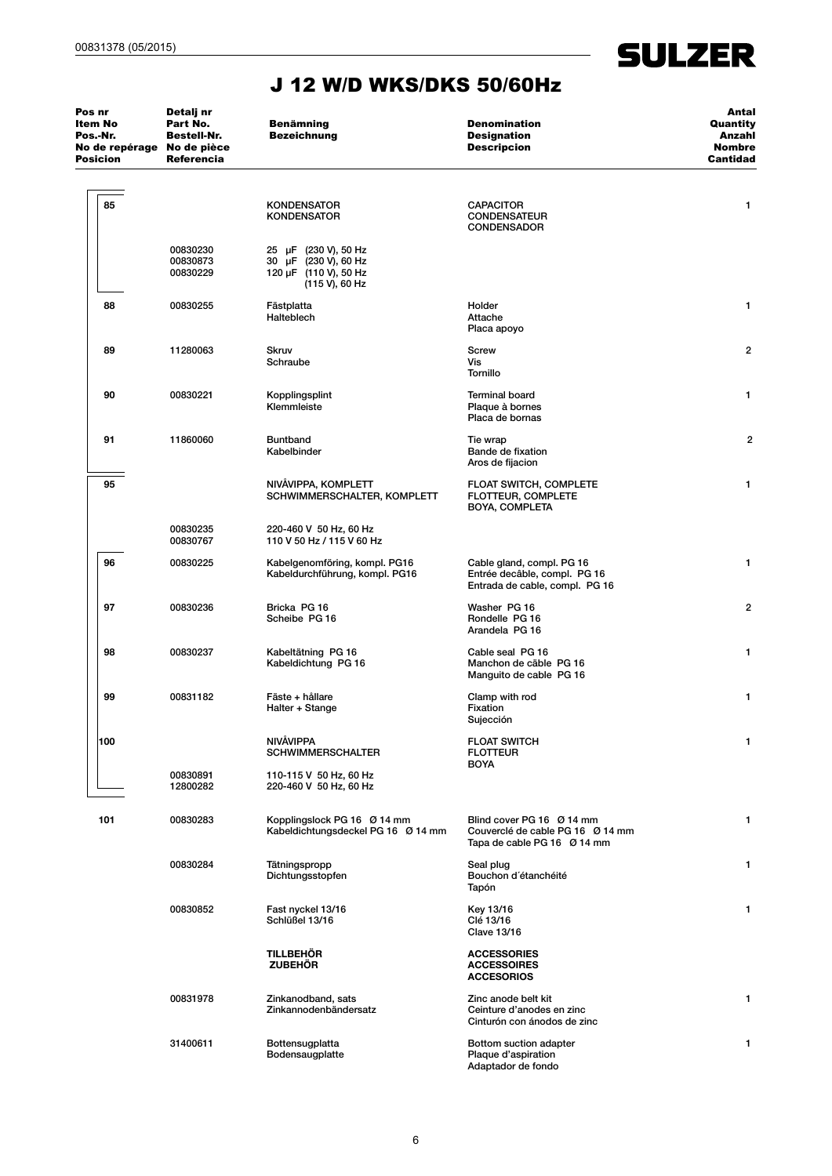

| Pos nr<br>Item No<br>Pos.-Nr.<br>No de repérage No de pièce<br><b>Posicion</b> | Detalj nr<br>Part No.<br><b>Bestell-Nr.</b><br><b>Referencia</b> | <b>Benämning</b><br><b>Bezeichnung</b>                                                  | <b>Denomination</b><br><b>Designation</b><br><b>Descripcion</b>                              | Antal<br>Quantity<br>Anzahl<br><b>Nombre</b><br><b>Cantidad</b> |
|--------------------------------------------------------------------------------|------------------------------------------------------------------|-----------------------------------------------------------------------------------------|----------------------------------------------------------------------------------------------|-----------------------------------------------------------------|
| 85                                                                             |                                                                  | <b>KONDENSATOR</b><br><b>KONDENSATOR</b>                                                | <b>CAPACITOR</b><br><b>CONDENSATEUR</b><br><b>CONDENSADOR</b>                                | 1                                                               |
|                                                                                | 00830230<br>00830873<br>00830229                                 | 25 µF (230 V), 50 Hz<br>30 µF (230 V), 60 Hz<br>120 µF (110 V), 50 Hz<br>(115 V), 60 Hz |                                                                                              |                                                                 |
| 88                                                                             | 00830255                                                         | Fästplatta<br>Halteblech                                                                | Holder<br>Attache<br>Placa apoyo                                                             | 1                                                               |
| 89                                                                             | 11280063                                                         | <b>Skruv</b><br>Schraube                                                                | <b>Screw</b><br>Vis<br>Tornillo                                                              | $\overline{2}$                                                  |
| 90                                                                             | 00830221                                                         | Kopplingsplint<br>Klemmleiste                                                           | <b>Terminal board</b><br>Plaque à bornes<br>Placa de bornas                                  | $\mathbf{1}$                                                    |
| 91                                                                             | 11860060                                                         | <b>Buntband</b><br>Kabelbinder                                                          | Tie wrap<br>Bande de fixation<br>Aros de fijacion                                            | $\overline{2}$                                                  |
| 95                                                                             |                                                                  | NIVĂVIPPA, KOMPLETT<br>SCHWIMMERSCHALTER, KOMPLETT                                      | <b>FLOAT SWITCH, COMPLETE</b><br><b>FLOTTEUR, COMPLETE</b><br><b>BOYA, COMPLETA</b>          | 1                                                               |
|                                                                                | 00830235<br>00830767                                             | 220-460 V 50 Hz, 60 Hz<br>110 V 50 Hz / 115 V 60 Hz                                     |                                                                                              |                                                                 |
| 96                                                                             | 00830225                                                         | Kabelgenomföring, kompl. PG16<br>Kabeldurchführung, kompl. PG16                         | Cable gland, compl. PG 16<br>Entrée decâble, compl. PG 16<br>Entrada de cable, compl. PG 16  | 1                                                               |
| 97                                                                             | 00830236                                                         | Bricka PG 16<br>Scheibe PG 16                                                           | Washer PG 16<br>Rondelle PG 16<br>Arandela PG 16                                             | 2                                                               |
| 98                                                                             | 00830237                                                         | Kabeltätning PG 16<br>Kabeldichtung PG 16                                               | Cable seal PG 16<br>Manchon de cäble PG 16<br>Manguito de cable PG 16                        | 1                                                               |
| 99                                                                             | 00831182                                                         | Fäste + hållare<br>Halter + Stange                                                      | Clamp with rod<br>Fixation<br>Sujección                                                      | 1                                                               |
| 100                                                                            |                                                                  | NIVÅVIPPA<br><b>SCHWIMMERSCHALTER</b>                                                   | <b>FLOAT SWITCH</b><br><b>FLOTTEUR</b>                                                       | 1                                                               |
|                                                                                | 00830891<br>12800282                                             | 110-115 V 50 Hz, 60 Hz<br>220-460 V 50 Hz, 60 Hz                                        | <b>BOYA</b>                                                                                  |                                                                 |
| 101                                                                            | 00830283                                                         | Kopplingslock PG 16 Ø 14 mm<br>Kabeldichtungsdeckel PG 16 Ø 14 mm                       | Blind cover PG 16 Ø 14 mm<br>Couverclé de cable PG 16 Ø 14 mm<br>Tapa de cable PG 16 Ø 14 mm | 1                                                               |
|                                                                                | 00830284                                                         | Tätningspropp<br>Dichtungsstopfen                                                       | Seal plug<br>Bouchon d'étanchéité<br>Tapón                                                   | 1                                                               |
|                                                                                | 00830852                                                         | Fast nyckel 13/16<br>Schlüßel 13/16                                                     | Key 13/16<br>Clé 13/16<br>Clave 13/16                                                        | 1                                                               |
|                                                                                |                                                                  | TILLBEHÖR<br><b>ZUBEHÖR</b>                                                             | <b>ACCESSORIES</b><br><b>ACCESSOIRES</b><br><b>ACCESORIOS</b>                                |                                                                 |
|                                                                                | 00831978                                                         | Zinkanodband, sats<br>Zinkannodenbändersatz                                             | Zinc anode belt kit<br>Ceinture d'anodes en zinc<br>Cinturón con ánodos de zinc              | 1                                                               |
|                                                                                | 31400611                                                         | Bottensugplatta<br>Bodensaugplatte                                                      | Bottom suction adapter<br>Plaque d'aspiration<br>Adaptador de fondo                          | 1.                                                              |